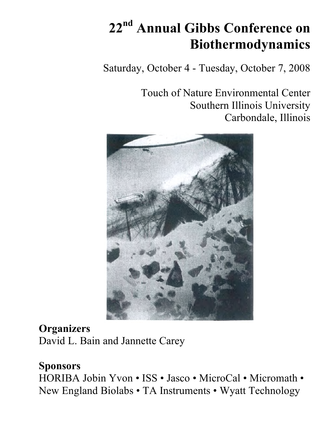# **22nd Annual Gibbs Conference on Biothermodynamics**

Saturday, October 4 - Tuesday, October 7, 2008

Touch of Nature Environmental Center Southern Illinois University Carbondale, Illinois



## **Organizers**

David L. Bain and Jannette Carey

## **Sponsors**

HORIBA Jobin Yvon • ISS • Jasco • MicroCal • Micromath • New England Biolabs • TA Instruments • Wyatt Technology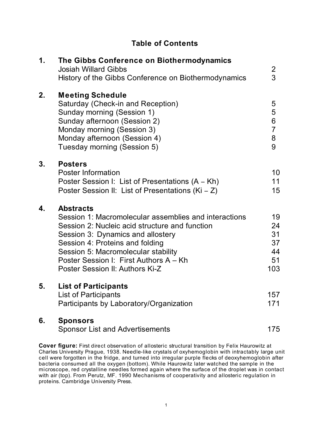### **Table of Contents**

| 1. | The Gibbs Conference on Biothermodynamics<br><b>Josiah Willard Gibbs</b><br>History of the Gibbs Conference on Biothermodynamics                                                                                                                                                                                        | $\mathbf{2}$<br>3                                    |
|----|-------------------------------------------------------------------------------------------------------------------------------------------------------------------------------------------------------------------------------------------------------------------------------------------------------------------------|------------------------------------------------------|
| 2. | <b>Meeting Schedule</b><br>Saturday (Check-in and Reception)<br>Sunday morning (Session 1)<br>Sunday afternoon (Session 2)<br>Monday morning (Session 3)<br>Monday afternoon (Session 4)<br>Tuesday morning (Session 5)                                                                                                 | 5<br>5<br>$6\phantom{a}$<br>$\overline{7}$<br>8<br>9 |
| 3. | <b>Posters</b><br><b>Poster Information</b><br>Poster Session I: List of Presentations (A – Kh)<br>Poster Session II: List of Presentations (Ki $-$ Z)                                                                                                                                                                  | 10<br>11<br>15                                       |
| 4. | <b>Abstracts</b><br>Session 1: Macromolecular assemblies and interactions<br>Session 2: Nucleic acid structure and function<br>Session 3: Dynamics and allostery<br>Session 4: Proteins and folding<br>Session 5: Macromolecular stability<br>Poster Session I: First Authors A - Kh<br>Poster Session II: Authors Ki-Z | 19<br>24<br>31<br>37<br>44<br>51<br>103              |
| 5. | <b>List of Participants</b><br><b>List of Participants</b><br>Participants by Laboratory/Organization                                                                                                                                                                                                                   | 157<br>171                                           |
| 6. | <b>Sponsors</b><br><b>Sponsor List and Advertisements</b>                                                                                                                                                                                                                                                               | 175                                                  |

**Cover figure:** First direct observation of allosteric structural transition by Felix Haurowitz at Charles University Prague, 1938. Needle-like crystals of oxyhemoglobin with intractably large unit cell were forgotten in the fridge, and turned into irregular purple flecks of deoxyhemoglobin after bacteria consumed all the oxygen (bottom). While Haurowitz later watched the sample in the microscope, red crystalline needles formed again where the surface of the droplet was in contact with air (top). From Perutz, MF. 1990 Mechanisms of cooperativity and allosteric regulation in proteins. Cambridge University Press.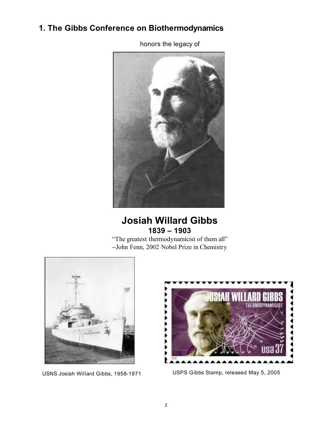## **1. The Gibbs Conference on Biothermodynamics**

honors the legacy of



## **Josiah Willard Gibbs 1839 – 1903**

"The greatest thermodynamicist of them all" −John Fenn, 2002 Nobel Prize in Chemistry





USNS Josiah Willard Gibbs, 1958-1971 USPS Gibbs Stamp, released May 5, 2005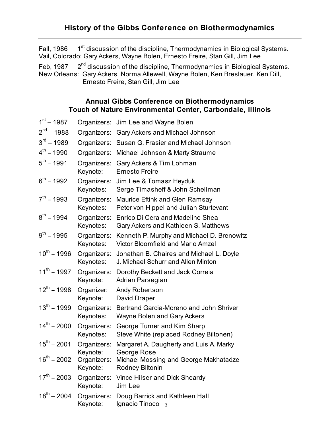Fall, 1986 1<sup>st</sup> discussion of the discipline, Thermodynamics in Biological Systems. Vail, Colorado: Gary Ackers, Wayne Bolen, Ernesto Freire, Stan Gill, Jim Lee

Feb, 1987  $2^{nd}$  discussion of the discipline, Thermodynamics in Biological Systems. New Orleans: Gary Ackers, Norma Allewell, Wayne Bolen, Ken Breslauer, Ken Dill, Ernesto Freire, Stan Gill, Jim Lee

#### **Annual Gibbs Conference on Biothermodynamics Touch of Nature Environmental Center, Carbondale, Illinois**

| $1^{st} - 1987$                | Organizers:              | Jim Lee and Wayne Bolen                                                                |
|--------------------------------|--------------------------|----------------------------------------------------------------------------------------|
| $2^{nd} - 1988$                | Organizers:              | Gary Ackers and Michael Johnson                                                        |
| $3^{\text{rd}} - 1989$         | Organizers:              | Susan G. Frasier and Michael Johnson                                                   |
| $4^{th} - 1990$                | Organizers:              | Michael Johnson & Marty Straume                                                        |
| $5^{th}$ – 1991                | Organizers:<br>Keynote:  | Gary Ackers & Tim Lohman<br><b>Ernesto Freire</b>                                      |
| $6^{th} - 1992$                | Organizers:<br>Keynotes: | Jim Lee & Tomasz Heyduk<br>Serge Timasheff & John Schellman                            |
| $7^{th} - 1993$                | Organizers:<br>Keynotes: | Maurice Eftink and Glen Ramsay<br>Peter von Hippel and Julian Sturtevant               |
| $8^{th} - 1994$                | Organizers:<br>Keynotes: | Enrico Di Cera and Madeline Shea<br>Gary Ackers and Kathleen S. Matthews               |
| $9^{th} - 1995$                | Organizers:<br>Keynotes: | Kenneth P. Murphy and Michael D. Brenowitz<br><b>Victor Bloomfield and Mario Amzel</b> |
| $10^{th} - 1996$               | Organizers:<br>Keynotes: | Jonathan B. Chaires and Michael L. Doyle<br>J. Michael Schurr and Allen Minton         |
| $11^{th}$ – 1997               | Organizers:<br>Keynote:  | Dorothy Beckett and Jack Correia<br>Adrian Parsegian                                   |
| $12^{th} - 1998$               | Organizer:<br>Keynote:   | <b>Andy Robertson</b><br>David Draper                                                  |
| $13^{th} - 1999$               | Organizers:<br>Keynotes: | Bertrand Garcia-Moreno and John Shriver<br><b>Wayne Bolen and Gary Ackers</b>          |
| $14^{th} - 2000$               | Organizers:<br>Keynotes: | George Turner and Kim Sharp<br>Steve White (replaced Rodney Biltonen)                  |
| $15^{th} - 2001$               | Organizers:<br>Keynote:  | Margaret A. Daugherty and Luis A. Marky<br>George Rose                                 |
| 16 <sup>th</sup><br>$n - 2002$ | Keynote:                 | Organizers: Michael Mossing and George Makhatadze<br>Rodney Biltonin                   |
| $17^{th} - 2003$               | Organizers:<br>Keynote:  | Vince Hilser and Dick Sheardy<br>Jim Lee                                               |
| $18^{th} - 2004$               | Keynote:                 | Organizers: Doug Barrick and Kathleen Hall<br>Ignacio Tinoco <sub>3</sub>              |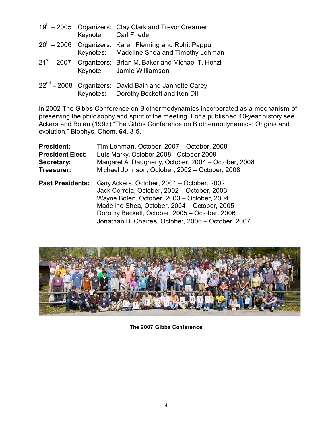|  | 19 <sup>th</sup> – 2005 Organizers: Clay Clark and Trevor Creamer<br>Keynote: Carl Frieden                      |
|--|-----------------------------------------------------------------------------------------------------------------|
|  | 20 <sup>th</sup> – 2006 Organizers: Karen Fleming and Rohit Pappu<br>Keynotes: Madeline Shea and Timothy Lohman |
|  | $21st$ – 2007 Organizers: Brian M. Baker and Michael T. Henzl<br>Keynote: Jamie Williamson                      |
|  | 22 <sup>nd</sup> – 2008 Organizers: David Bain and Jannette Carey<br>Keynotes: Dorothy Beckett and Ken DIII     |

In 2002 The Gibbs Conference on Biothermodynamics incorporated as a mechanism of preserving the philosophy and spirit of the meeting. For a published 10-year history see Ackers and Bolen (1997) "The Gibbs Conference on Biothermodynamics: Origins and evolution." Biophys. Chem. **64**, 3-5.

| President:              | Tim Lohman, October, 2007 - October, 2008            |
|-------------------------|------------------------------------------------------|
| <b>President Elect:</b> | Luis Marky, October 2008 - October 2009              |
| Secretary:              | Margaret A. Daugherty, October, 2004 – October, 2008 |
| Treasurer:              | Michael Johnson, October, 2002 - October, 2008       |
| Past Presidents:        | Gary Ackers, October, 2001 – October, 2002           |
|                         | Jack Correia, October, 2002 - October, 2003          |
|                         | Wayne Bolen, October, 2003 - October, 2004           |
|                         | Madeline Shea, October, 2004 - October, 2005         |
|                         | Dorothy Beckett, October, 2005 - October, 2006       |
|                         | Jonathan B. Chaires, October, 2006 - October, 2007   |



**The 2007 Gibbs Conference**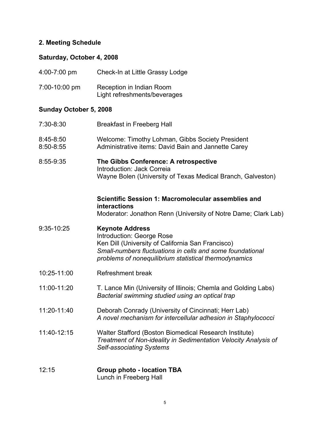#### **2. Meeting Schedule**

#### **Saturday, October 4, 2008**

| 4:00-7:00 pm                  | Check-In at Little Grassy Lodge                                                                                                                                                                                                |
|-------------------------------|--------------------------------------------------------------------------------------------------------------------------------------------------------------------------------------------------------------------------------|
| 7:00-10:00 pm                 | Reception in Indian Room<br>Light refreshments/beverages                                                                                                                                                                       |
| <b>Sunday October 5, 2008</b> |                                                                                                                                                                                                                                |
| 7:30-8:30                     | <b>Breakfast in Freeberg Hall</b>                                                                                                                                                                                              |
| 8:45-8:50<br>8:50-8:55        | Welcome: Timothy Lohman, Gibbs Society President<br>Administrative items: David Bain and Jannette Carey                                                                                                                        |
| 8:55-9:35                     | The Gibbs Conference: A retrospective<br>Introduction: Jack Correia<br>Wayne Bolen (University of Texas Medical Branch, Galveston)                                                                                             |
|                               | Scientific Session 1: Macromolecular assemblies and<br>interactions<br>Moderator: Jonathon Renn (University of Notre Dame; Clark Lab)                                                                                          |
| 9:35-10:25                    | <b>Keynote Address</b><br>Introduction: George Rose<br>Ken Dill (University of California San Francisco)<br>Small-numbers fluctuations in cells and some foundational<br>problems of nonequilibrium statistical thermodynamics |
| 10:25-11:00                   | Refreshment break                                                                                                                                                                                                              |
| 11:00-11:20                   | T. Lance Min (University of Illinois; Chemia and Golding Labs)<br>Bacterial swimming studied using an optical trap                                                                                                             |
| 11:20-11:40                   | Deborah Conrady (University of Cincinnati; Herr Lab)<br>A novel mechanism for intercellular adhesion in Staphylococci                                                                                                          |
| 11:40-12:15                   | Walter Stafford (Boston Biomedical Research Institute)<br>Treatment of Non-ideality in Sedimentation Velocity Analysis of<br><b>Self-associating Systems</b>                                                                   |
|                               |                                                                                                                                                                                                                                |

12:15 **Group photo - location TBA**  Lunch in Freeberg Hall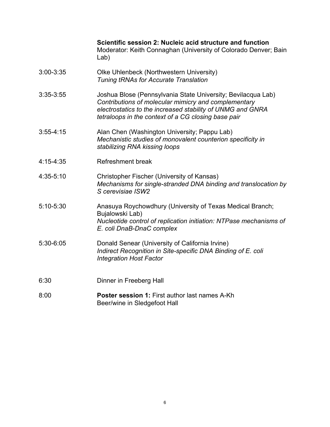**Scientific session 2: Nucleic acid structure and function**  Moderator: Keith Connaghan (University of Colorado Denver; Bain Lab)

- 3:00-3:35 Olke Uhlenbeck (Northwestern University) *Tuning tRNAs for Accurate Translation*
- 3:35-3:55 Joshua Blose (Pennsylvania State University; Bevilacqua Lab) *Contributions of molecular mimicry and complementary electrostatics to the increased stability of UNMG and GNRA tetraloops in the context of a CG closing base pair*
- 3:55-4:15 Alan Chen (Washington University; Pappu Lab) *Mechanistic studies of monovalent counterion specificity in stabilizing RNA kissing loops*
- 4:15-4:35 Refreshment break
- 4:35-5:10 Christopher Fischer (University of Kansas) *Mechanisms for single-stranded DNA binding and translocation by S cerevisiae ISW2*
- 5:10-5:30 Anasuya Roychowdhury (University of Texas Medical Branch; Bujalowski Lab) *Nucleotide control of replication initiation: NTPase mechanisms of E. coli DnaB-DnaC complex*
- 5:30-6:05 Donald Senear (University of California Irvine) *Indirect Recognition in Site-specific DNA Binding of E. coli Integration Host Factor*
- 6:30 Dinner in Freeberg Hall
- 8:00 **Poster session 1:** First author last names A-Kh Beer/wine in Sledgefoot Hall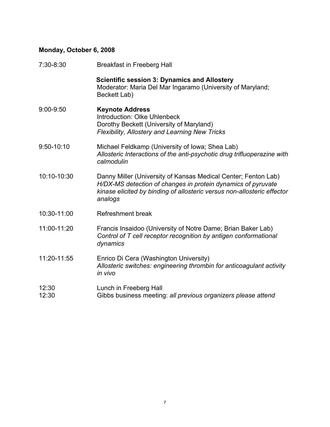## **Monday, October 6, 2008**

| 7:30-8:30      | <b>Breakfast in Freeberg Hall</b>                                                                                                                                                                                    |
|----------------|----------------------------------------------------------------------------------------------------------------------------------------------------------------------------------------------------------------------|
|                | <b>Scientific session 3: Dynamics and Allostery</b><br>Moderator: Maria Del Mar Ingaramo (University of Maryland;<br>Beckett Lab)                                                                                    |
| $9:00 - 9:50$  | <b>Keynote Address</b><br>Introduction: Olke Uhlenbeck<br>Dorothy Beckett (University of Maryland)<br>Flexibility, Allostery and Learning New Tricks                                                                 |
| 9:50-10:10     | Michael Feldkamp (University of Iowa; Shea Lab)<br>Allosteric Interactions of the anti-psychotic drug trifluoperazine with<br>calmodulin                                                                             |
| 10:10-10:30    | Danny Miller (University of Kansas Medical Center; Fenton Lab)<br>H/DX-MS detection of changes in protein dynamics of pyruvate<br>kinase elicited by binding of allosteric versus non-allosteric effector<br>analogs |
| 10:30-11:00    | Refreshment break                                                                                                                                                                                                    |
| 11:00-11:20    | Francis Insaidoo (University of Notre Dame; Brian Baker Lab)<br>Control of T cell receptor recognition by antigen conformational<br>dynamics                                                                         |
| 11:20-11:55    | Enrico Di Cera (Washington University)<br>Allosteric switches: engineering thrombin for anticoagulant activity<br>in vivo                                                                                            |
| 12:30<br>12:30 | Lunch in Freeberg Hall<br>Gibbs business meeting: all previous organizers please attend                                                                                                                              |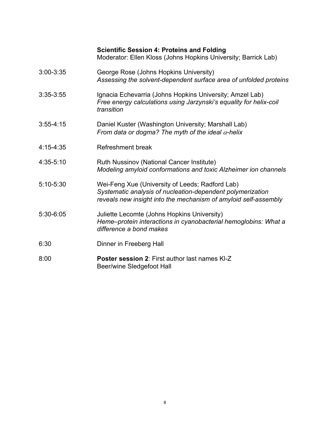#### **Scientific Session 4: Proteins and Folding**

Moderator: Ellen Kloss (Johns Hopkins University; Barrick Lab)

- 3:00-3:35 George Rose (Johns Hopkins University) *Assessing the solvent-dependent surface area of unfolded proteins*
- 3:35-3:55 Ignacia Echevarria (Johns Hopkins University; Amzel Lab) *Free energy calculations using Jarzynski's equality for helix-coil transition*
- 3:55-4:15 Daniel Kuster (Washington University; Marshall Lab) *From data or dogma? The myth of the ideal* α*-helix*
- 4:15-4:35 Refreshment break
- 4:35-5:10 Ruth Nussinov (National Cancer Institute) *Modeling amyloid conformations and toxic Alzheimer ion channels*
- 5:10-5:30 Wei-Feng Xue (University of Leeds; Radford Lab) *Systematic analysis of nucleation-dependent polymerization reveals new insight into the mechanism of amyloid self-assembly*
- 5:30-6:05 Juliette Lecomte (Johns Hopkins University) *Heme–protein interactions in cyanobacterial hemoglobins: What a difference a bond makes*
- 6:30 Dinner in Freeberg Hall
- 8:00 **Poster session 2**: First author last names Kl-Z Beer/wine Sledgefoot Hall